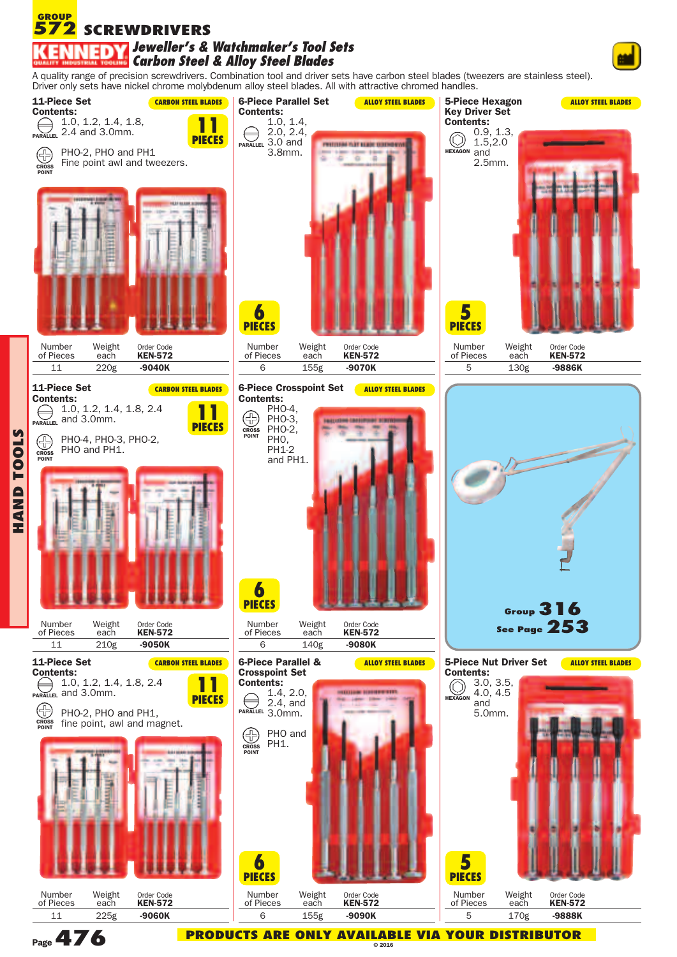## **572** SCREWDRIVERS **GROUP** *Jeweller's & Watchmaker's Tool Sets Carbon Steel & Alloy Steel Blades*

A quality range of precision screwdrivers. Combination tool and driver sets have carbon steel blades (tweezers are stainless steel). Driver only sets have nickel chrome molybdenum alloy steel blades. All with attractive chromed handles.



**Page476**

**HANDTOOLS**

> **PRODUCTS ARE ONLY AVAILABLE VIA YOUR DISTRIBUTOR © 2016**